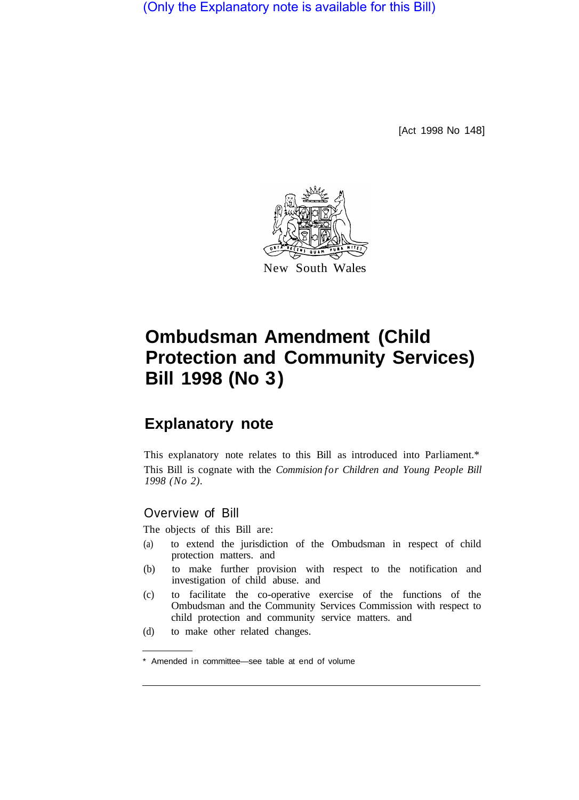(Only the Explanatory note is available for this Bill)

[Act 1998 No 148]



# **Ombudsman Amendment (Child Protection and Community Services) Bill 1998 (No 3)**

## **Explanatory note**

This explanatory note relates to this Bill as introduced into Parliament.\* This Bill is cognate with the *Commision for Children and Young People Bill 1998 (No 2).* 

### Overview of Bill

The objects of this Bill are:

- (a) to extend the jurisdiction of the Ombudsman in respect of child protection matters. and
- (b) to make further provision with respect to the notification and investigation of child abuse. and
- (c) to facilitate the co-operative exercise of the functions of the Ombudsman and the Community Services Commission with respect to child protection and community service matters. and
- (d) to make other related changes.

<sup>\*</sup> Amended in committee—see table at end of volume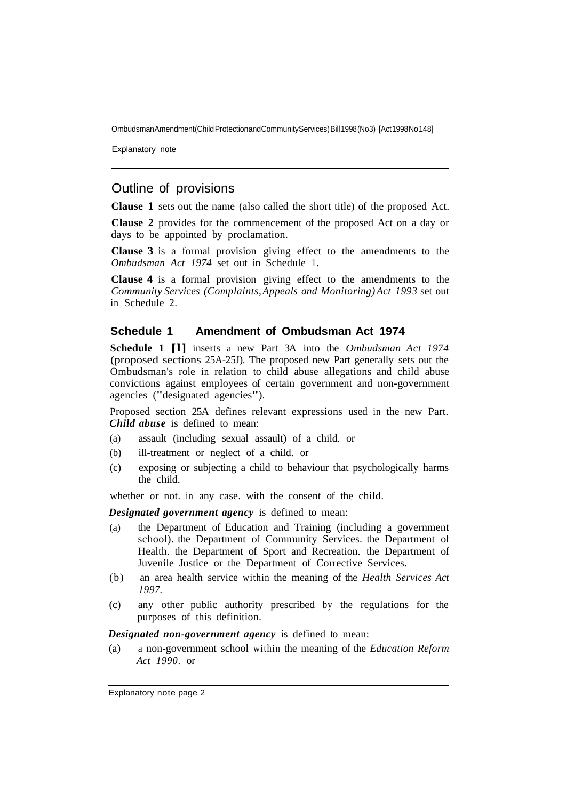Ombudsman Amendment (Child Protection and Community Services) Bill 1998 (No 3) [Act 1998 No 148]

Explanatory note

#### Outline of provisions

**Clause 1** sets out the name (also called the short title) of the proposed Act.

**Clause 2** provides for the commencement of the proposed Act on a day or days to be appointed by proclamation.

**Clause 3** is a formal provision giving effect to the amendments to the *Ombudsman Act 1974* set out in Schedule 1.

**Clause 4** is a formal provision giving effect to the amendments to the *Community Services (Complaints, Appeals and Monitoring) Act 1993* set out in Schedule 2.

#### **Schedule 1 Amendment of Ombudsman Act 1974**

**Schedule 1 [l]** inserts a new Part 3A into the *Ombudsman Act 1974*  (proposed sections 25A-25J). The proposed new Part generally sets out the Ombudsman's role in relation to child abuse allegations and child abuse convictions against employees of certain government and non-government agencies ("designated agencies").

Proposed section 25A defines relevant expressions used in the new Part. *Child abuse* is defined to mean:

- (a) assault (including sexual assault) of a child. or
- (b) ill-treatment or neglect of a child. or
- (c) exposing or subjecting a child to behaviour that psychologically harms the child.

whether or not. in any case. with the consent of the child.

*Designated government agency* is defined to mean:

- (a) the Department of Education and Training (including a government school). the Department of Community Services. the Department of Health. the Department of Sport and Recreation. the Department of Juvenile Justice or the Department of Corrective Services.
- (b) an area health service within the meaning of the *Health Services Act 1997.*
- (c) any other public authority prescribed by the regulations for the purposes of this definition.

*Designated non-government agency* is defined to mean:

(a) a non-government school within the meaning of the *Education Reform Act 1990.* or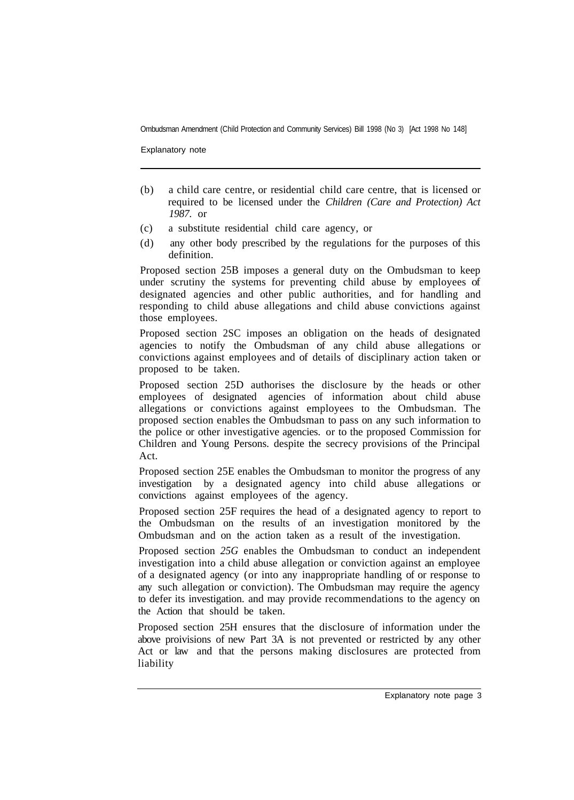Ombudsman Amendment (Child Protection and Community Services) Bill 1998 (No 3) [Act 1998 No 148]

Explanatory note

- (b) a child care centre, or residential child care centre, that is licensed or required to be licensed under the *Children (Care and Protection) Act 1987.* or
- (c) a substitute residential child care agency, or
- (d) any other body prescribed by the regulations for the purposes of this definition.

Proposed section 25B imposes a general duty on the Ombudsman to keep under scrutiny the systems for preventing child abuse by employees of designated agencies and other public authorities, and for handling and responding to child abuse allegations and child abuse convictions against those employees.

Proposed section 2SC imposes an obligation on the heads of designated agencies to notify the Ombudsman of any child abuse allegations or convictions against employees and of details of disciplinary action taken or proposed to be taken.

Proposed section 25D authorises the disclosure by the heads or other employees of designated agencies of information about child abuse allegations or convictions against employees to the Ombudsman. The proposed section enables the Ombudsman to pass on any such information to the police or other investigative agencies. or to the proposed Commission for Children and Young Persons. despite the secrecy provisions of the Principal Act.

Proposed section 25E enables the Ombudsman to monitor the progress of any investigation by a designated agency into child abuse allegations or convictions against employees of the agency.

Proposed section 25F requires the head of a designated agency to report to the Ombudsman on the results of an investigation monitored by the Ombudsman and on the action taken as a result of the investigation.

Proposed section *25G* enables the Ombudsman to conduct an independent investigation into a child abuse allegation or conviction against an employee of a designated agency (or into any inappropriate handling of or response to any such allegation or conviction). The Ombudsman may require the agency to defer its investigation. and may provide recommendations to the agency on the Action that should be taken.

Proposed section 25H ensures that the disclosure of information under the above proivisions of new Part 3A is not prevented or restricted by any other Act or law and that the persons making disclosures are protected from liability